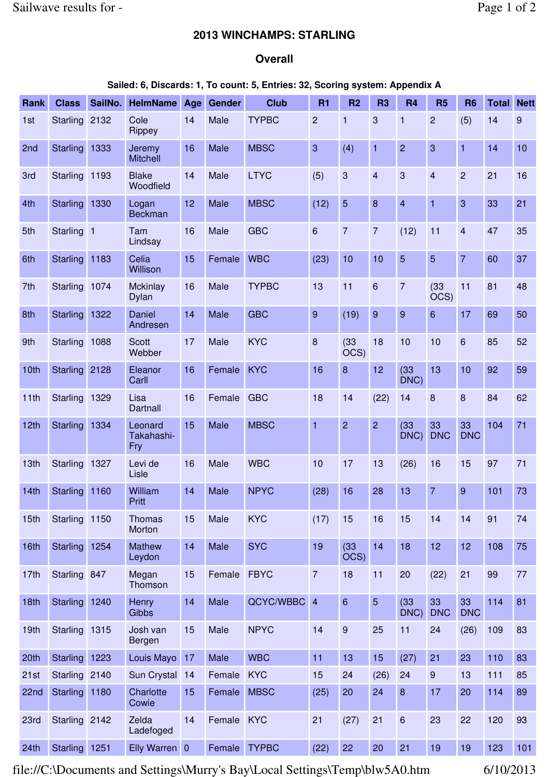## **2013 WINCHAMPS: STARLING**

## **Overall**

## **Sailed: 6, Discards: 1, To count: 5, Entries: 32, Scoring system: Appendix A**

| Rank | <b>Class</b>    | SailNo. | <b>HelmName</b>              | Age | Gender | <b>Club</b>  | <b>R1</b>      | R <sub>2</sub>           | R <sub>3</sub>          | <b>R4</b>               | <b>R5</b>                | <b>R6</b>        | <b>Total</b> | <b>Nett</b> |
|------|-----------------|---------|------------------------------|-----|--------|--------------|----------------|--------------------------|-------------------------|-------------------------|--------------------------|------------------|--------------|-------------|
| 1st  | <b>Starling</b> | 2132    | Cole<br>Rippey               | 14  | Male   | <b>TYPBC</b> | $\overline{2}$ | $\mathbf{1}$             | 3                       | $\mathbf{1}$            | $\overline{c}$           | (5)              | 14           | 9           |
| 2nd  | <b>Starling</b> | 1333    | Jeremy<br><b>Mitchell</b>    | 16  | Male   | <b>MBSC</b>  | 3              | (4)                      | $\mathbf{1}$            | $\overline{2}$          | 3                        | 1                | 14           | 10          |
| 3rd  | <b>Starling</b> | 1193    | <b>Blake</b><br>Woodfield    | 14  | Male   | <b>LTYC</b>  | (5)            | $\mathbf{3}$             | $\overline{\mathbf{4}}$ | 3                       | $\overline{\mathbf{4}}$  | $\overline{c}$   | 21           | 16          |
| 4th  | <b>Starling</b> | 1330    | Logan<br><b>Beckman</b>      | 12  | Male   | <b>MBSC</b>  | (12)           | 5                        | 8                       | $\overline{\mathbf{4}}$ | $\mathbf{1}$             | 3                | 33           | 21          |
| 5th  | Starling 1      |         | Tam<br>Lindsay               | 16  | Male   | <b>GBC</b>   | 6              | $\overline{7}$           | $\overline{7}$          | (12)                    | 11                       | $\overline{4}$   | 47           | 35          |
| 6th  | Starling 1183   |         | Celia<br>Willison            | 15  | Female | <b>WBC</b>   | (23)           | 10                       | 10                      | 5                       | 5                        | $\overline{7}$   | 60           | 37          |
| 7th  | <b>Starling</b> | 1074    | Mckinlay<br><b>Dylan</b>     | 16  | Male   | <b>TYPBC</b> | 13             | 11                       | 6                       | $\overline{7}$          | (33)<br>$\overline{OCS}$ | 11               | 81           | 48          |
| 8th  | <b>Starling</b> | 1322    | Daniel<br>Andresen           | 14  | Male   | <b>GBC</b>   | $\overline{9}$ | (19)                     | $\overline{9}$          | 9                       | 6                        | 17               | 69           | 50          |
| 9th  | <b>Starling</b> | 1088    | <b>Scott</b><br>Webber       | 17  | Male   | <b>KYC</b>   | 8              | (33)<br>OCS)             | 18                      | 10                      | 10                       | 6                | 85           | 52          |
| 10th | <b>Starling</b> | 2128    | Eleanor<br>Carll             | 16  | Female | <b>KYC</b>   | 16             | $\boldsymbol{8}$         | 12                      | (33)<br>DNC)            | 13                       | 10               | 92           | 59          |
| 11th | <b>Starling</b> | 1329    | Lisa<br><b>Dartnall</b>      | 16  | Female | <b>GBC</b>   | 18             | 14                       | (22)                    | 14                      | 8                        | 8                | 84           | 62          |
| 12th | <b>Starling</b> | 1334    | Leonard<br>Takahashi-<br>Fry | 15  | Male   | <b>MBSC</b>  | $\overline{1}$ | $\overline{2}$           | $\overline{2}$          | (33)<br>DNC)            | 33<br><b>DNC</b>         | 33<br><b>DNC</b> | 104          | 71          |
| 13th | <b>Starling</b> | 1327    | Levi de<br>Lisle             | 16  | Male   | <b>WBC</b>   | 10             | 17                       | 13                      | (26)                    | 16                       | 15               | 97           | 71          |
| 14th | <b>Starling</b> | 1160    | William<br>Pritt             | 14  | Male   | <b>NPYC</b>  | (28)           | 16                       | 28                      | 13                      | $\overline{7}$           | $\overline{9}$   | 101          | 73          |
| 15th | Starling 1150   |         | Thomas<br>Morton             | 15  | Male   | <b>KYC</b>   | (17)           | 15                       | 16                      | 15                      | 14                       | 14               | 91           | 74          |
| 16th | Starling 1254   |         | <b>Mathew</b><br>Leydon      | 14  | Male   | <b>SYC</b>   | 19             | (33)<br>$\overline{OCS}$ | 14                      | 18                      | 12                       | 12               | 108          | 75          |
| 17th | Starling 847    |         | Megan<br>Thomson             | 15  | Female | <b>FBYC</b>  | $\overline{7}$ | 18                       | 11                      | 20                      | (22)                     | 21               | 99           | 77          |
| 18th | <b>Starling</b> | 1240    | Henry<br>Gibbs               | 14  | Male   | QCYC/WBBC 4  |                | $\boldsymbol{6}$         | 5                       | (33)<br>DNC)            | 33<br><b>DNC</b>         | 33<br><b>DNC</b> | 114          | 81          |
| 19th | Starling 1315   |         | Josh van<br>Bergen           | 15  | Male   | <b>NPYC</b>  | 14             | $\boldsymbol{9}$         | 25                      | 11                      | 24                       | (26)             | 109          | 83          |
| 20th | <b>Starling</b> | 1223    | Louis Mayo                   | 17  | Male   | <b>WBC</b>   | 11             | 13                       | 15                      | (27)                    | 21                       | 23               | 110          | 83          |
| 21st | Starling 2140   |         | Sun Crystal 14               |     | Female | <b>KYC</b>   | 15             | 24                       | (26)                    | 24                      | $\boldsymbol{9}$         | 13               | 111          | 85          |
| 22nd | Starling 1180   |         | Charlotte<br>Cowie           | 15  | Female | <b>MBSC</b>  | (25)           | 20                       | 24                      | 8                       | 17                       | 20               | 114          | 89          |
| 23rd | Starling 2142   |         | Zelda<br>Ladefoged           | 14  | Female | <b>KYC</b>   | 21             | (27)                     | 21                      | 6                       | 23                       | 22               | 120          | 93          |
| 24th | Starling 1251   |         | Elly Warren 0                |     | Female | <b>TYPBC</b> | (22)           | 22                       | 20                      | 21                      | 19                       | 19               | 123          | 101         |

file://C:\Documents and Settings\Murry's Bay\Local Settings\Temp\blw5A0.htm 6/10/2013